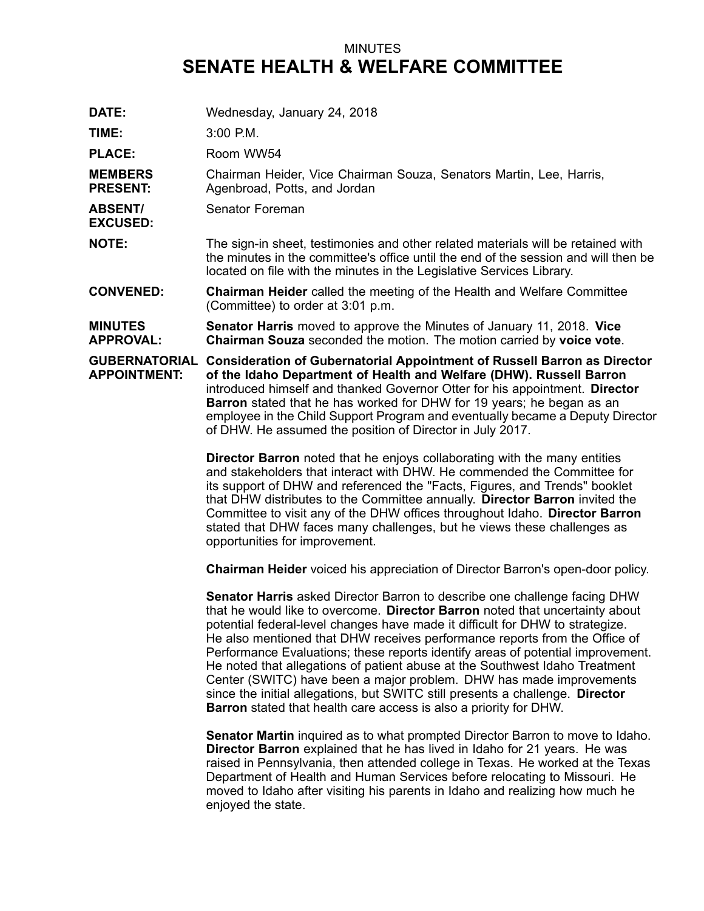## MINUTES **SENATE HEALTH & WELFARE COMMITTEE**

**DATE:** Wednesday, January 24, 2018 **TIME:** 3:00 P.M. PLACE: Room WW54 **MEMBERS PRESENT:** Chairman Heider, Vice Chairman Souza, Senators Martin, Lee, Harris, Agenbroad, Potts, and Jordan **ABSENT/ EXCUSED:** Senator Foreman **NOTE:** The sign-in sheet, testimonies and other related materials will be retained with the minutes in the committee's office until the end of the session and will then be located on file with the minutes in the Legislative Services Library. **CONVENED: Chairman Heider** called the meeting of the Health and Welfare Committee (Committee) to order at 3:01 p.m. **MINUTES APPROVAL: Senator Harris** moved to approve the Minutes of January 11, 2018. **Vice Chairman Souza** seconded the motion. The motion carried by **voice vote**. **GUBERNATORIAL Consideration of Gubernatorial Appointment of Russell Barron as Director APPOINTMENT: of the Idaho Department of Health and Welfare (DHW). Russell Barron** introduced himself and thanked Governor Otter for his appointment. **Director Barron** stated that he has worked for DHW for 19 years; he began as an employee in the Child Support Program and eventually became <sup>a</sup> Deputy Director of DHW. He assumed the position of Director in July 2017. **Director Barron** noted that he enjoys collaborating with the many entities and stakeholders that interact with DHW. He commended the Committee for its support of DHW and referenced the "Facts, Figures, and Trends" booklet that DHW distributes to the Committee annually. **Director Barron** invited the Committee to visit any of the DHW offices throughout Idaho. **Director Barron** stated that DHW faces many challenges, but he views these challenges as opportunities for improvement. **Chairman Heider** voiced his appreciation of Director Barron's open-door policy. **Senator Harris** asked Director Barron to describe one challenge facing DHW that he would like to overcome. **Director Barron** noted that uncertainty about potential federal-level changes have made it difficult for DHW to strategize. He also mentioned that DHW receives performance reports from the Office of Performance Evaluations; these reports identify areas of potential improvement. He noted that allegations of patient abuse at the Southwest Idaho Treatment Center (SWITC) have been <sup>a</sup> major problem. DHW has made improvements since the initial allegations, but SWITC still presents <sup>a</sup> challenge. **Director Barron** stated that health care access is also <sup>a</sup> priority for DHW. **Senator Martin** inquired as to what prompted Director Barron to move to Idaho. **Director Barron** explained that he has lived in Idaho for 21 years. He was raised in Pennsylvania, then attended college in Texas. He worked at the Texas Department of Health and Human Services before relocating to Missouri. He moved to Idaho after visiting his parents in Idaho and realizing how much he

enjoyed the state.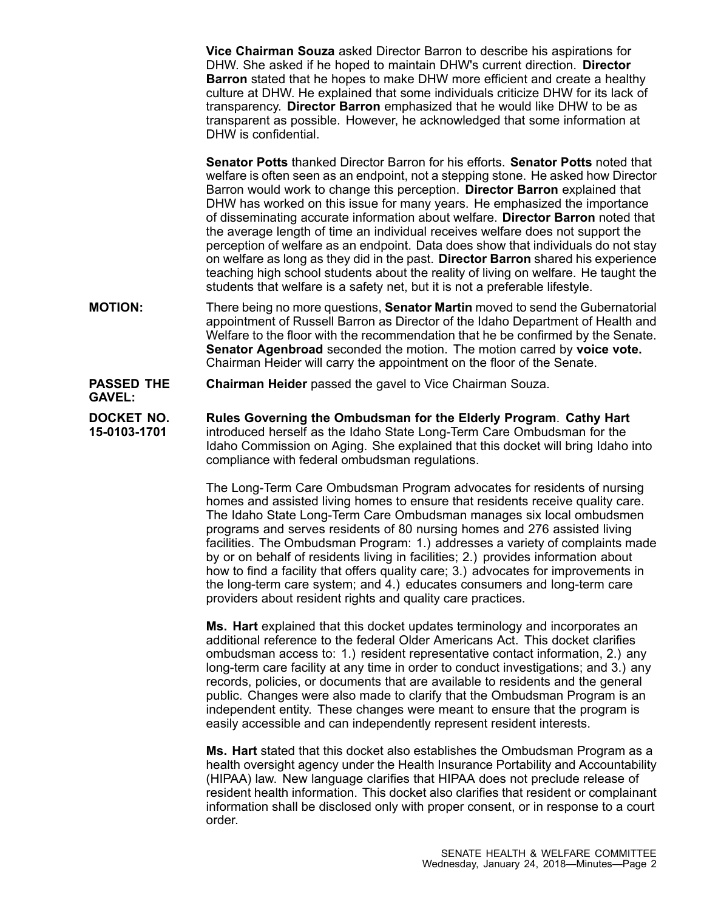**Vice Chairman Souza** asked Director Barron to describe his aspirations for DHW. She asked if he hoped to maintain DHW's current direction. **Director Barron** stated that he hopes to make DHW more efficient and create <sup>a</sup> healthy culture at DHW. He explained that some individuals criticize DHW for its lack of transparency. **Director Barron** emphasized that he would like DHW to be as transparent as possible. However, he acknowledged that some information at DHW is confidential.

**Senator Potts** thanked Director Barron for his efforts. **Senator Potts** noted that welfare is often seen as an endpoint, not <sup>a</sup> stepping stone. He asked how Director Barron would work to change this perception. **Director Barron** explained that DHW has worked on this issue for many years. He emphasized the importance of disseminating accurate information about welfare. **Director Barron** noted that the average length of time an individual receives welfare does not support the perception of welfare as an endpoint. Data does show that individuals do not stay on welfare as long as they did in the past. **Director Barron** shared his experience teaching high school students about the reality of living on welfare. He taught the students that welfare is <sup>a</sup> safety net, but it is not <sup>a</sup> preferable lifestyle.

- **MOTION:** There being no more questions, **Senator Martin** moved to send the Gubernatorial appointment of Russell Barron as Director of the Idaho Department of Health and Welfare to the floor with the recommendation that he be confirmed by the Senate. **Senator Agenbroad** seconded the motion. The motion carred by **voice vote.** Chairman Heider will carry the appointment on the floor of the Senate.
- **PASSED THE GAVEL: Chairman Heider** passed the gavel to Vice Chairman Souza.
- **DOCKET NO. 15-0103-1701 Rules Governing the Ombudsman for the Elderly Program**. **Cathy Hart** introduced herself as the Idaho State Long-Term Care Ombudsman for the Idaho Commission on Aging. She explained that this docket will bring Idaho into compliance with federal ombudsman regulations.

The Long-Term Care Ombudsman Program advocates for residents of nursing homes and assisted living homes to ensure that residents receive quality care. The Idaho State Long-Term Care Ombudsman manages six local ombudsmen programs and serves residents of 80 nursing homes and 276 assisted living facilities. The Ombudsman Program: 1.) addresses <sup>a</sup> variety of complaints made by or on behalf of residents living in facilities; 2.) provides information about how to find <sup>a</sup> facility that offers quality care; 3.) advocates for improvements in the long-term care system; and 4.) educates consumers and long-term care providers about resident rights and quality care practices.

**Ms. Hart** explained that this docket updates terminology and incorporates an additional reference to the federal Older Americans Act. This docket clarifies ombudsman access to: 1.) resident representative contact information, 2.) any long-term care facility at any time in order to conduct investigations; and 3.) any records, policies, or documents that are available to residents and the general public. Changes were also made to clarify that the Ombudsman Program is an independent entity. These changes were meant to ensure that the program is easily accessible and can independently represent resident interests.

**Ms. Hart** stated that this docket also establishes the Ombudsman Program as <sup>a</sup> health oversight agency under the Health Insurance Portability and Accountability (HIPAA) law. New language clarifies that HIPAA does not preclude release of resident health information. This docket also clarifies that resident or complainant information shall be disclosed only with proper consent, or in response to <sup>a</sup> court order.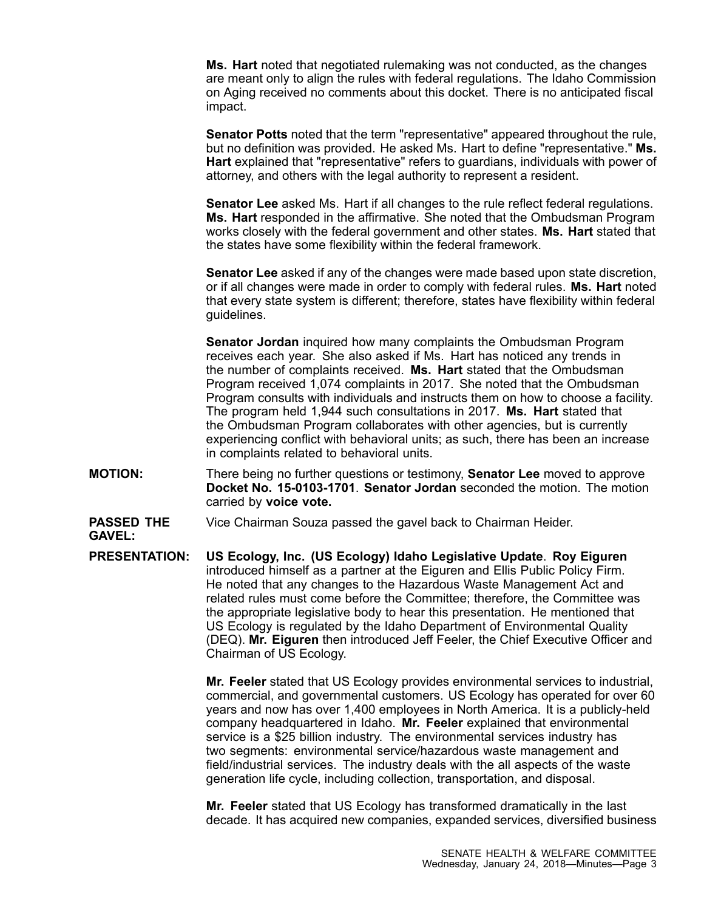**Ms. Hart** noted that negotiated rulemaking was not conducted, as the changes are meant only to align the rules with federal regulations. The Idaho Commission on Aging received no comments about this docket. There is no anticipated fiscal impact.

**Senator Potts** noted that the term "representative" appeared throughout the rule, but no definition was provided. He asked Ms. Hart to define "representative." **Ms. Hart** explained that "representative" refers to guardians, individuals with power of attorney, and others with the legal authority to represent <sup>a</sup> resident.

**Senator Lee** asked Ms. Hart if all changes to the rule reflect federal regulations. **Ms. Hart** responded in the affirmative. She noted that the Ombudsman Program works closely with the federal government and other states. **Ms. Hart** stated that the states have some flexibility within the federal framework.

**Senator Lee** asked if any of the changes were made based upon state discretion, or if all changes were made in order to comply with federal rules. **Ms. Hart** noted that every state system is different; therefore, states have flexibility within federal guidelines.

**Senator Jordan** inquired how many complaints the Ombudsman Program receives each year. She also asked if Ms. Hart has noticed any trends in the number of complaints received. **Ms. Hart** stated that the Ombudsman Program received 1,074 complaints in 2017. She noted that the Ombudsman Program consults with individuals and instructs them on how to choose <sup>a</sup> facility. The program held 1,944 such consultations in 2017. **Ms. Hart** stated that the Ombudsman Program collaborates with other agencies, but is currently experiencing conflict with behavioral units; as such, there has been an increase in complaints related to behavioral units.

- **MOTION:** There being no further questions or testimony, **Senator Lee** moved to approve **Docket No. 15-0103-1701**. **Senator Jordan** seconded the motion. The motion carried by **voice vote.**
- **PASSED THE** Vice Chairman Souza passed the gavel back to Chairman Heider.

**GAVEL:**

**PRESENTATION: US Ecology, Inc. (US Ecology) Idaho Legislative Update**. **Roy Eiguren** introduced himself as <sup>a</sup> partner at the Eiguren and Ellis Public Policy Firm. He noted that any changes to the Hazardous Waste Management Act and related rules must come before the Committee; therefore, the Committee was the appropriate legislative body to hear this presentation. He mentioned that US Ecology is regulated by the Idaho Department of Environmental Quality (DEQ). **Mr. Eiguren** then introduced Jeff Feeler, the Chief Executive Officer and Chairman of US Ecology.

> **Mr. Feeler** stated that US Ecology provides environmental services to industrial, commercial, and governmental customers. US Ecology has operated for over 60 years and now has over 1,400 employees in North America. It is <sup>a</sup> publicly-held company headquartered in Idaho. **Mr. Feeler** explained that environmental service is <sup>a</sup> \$25 billion industry. The environmental services industry has two segments: environmental service/hazardous waste management and field/industrial services. The industry deals with the all aspects of the waste generation life cycle, including collection, transportation, and disposal.

> **Mr. Feeler** stated that US Ecology has transformed dramatically in the last decade. It has acquired new companies, expanded services, diversified business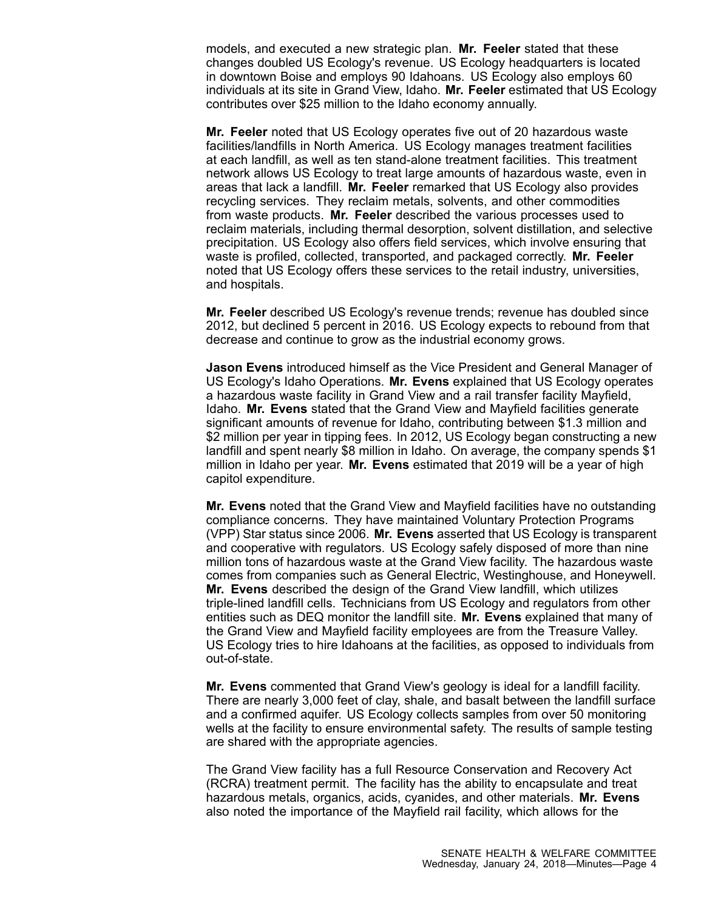models, and executed <sup>a</sup> new strategic plan. **Mr. Feeler** stated that these changes doubled US Ecology's revenue. US Ecology headquarters is located in downtown Boise and employs 90 Idahoans. US Ecology also employs 60 individuals at its site in Grand View, Idaho. **Mr. Feeler** estimated that US Ecology contributes over \$25 million to the Idaho economy annually.

**Mr. Feeler** noted that US Ecology operates five out of 20 hazardous waste facilities/landfills in North America. US Ecology manages treatment facilities at each landfill, as well as ten stand-alone treatment facilities. This treatment network allows US Ecology to treat large amounts of hazardous waste, even in areas that lack <sup>a</sup> landfill. **Mr. Feeler** remarked that US Ecology also provides recycling services. They reclaim metals, solvents, and other commodities from waste products. **Mr. Feeler** described the various processes used to reclaim materials, including thermal desorption, solvent distillation, and selective precipitation. US Ecology also offers field services, which involve ensuring that waste is profiled, collected, transported, and packaged correctly. **Mr. Feeler** noted that US Ecology offers these services to the retail industry, universities, and hospitals.

**Mr. Feeler** described US Ecology's revenue trends; revenue has doubled since 2012, but declined 5 percent in 2016. US Ecology expects to rebound from that decrease and continue to grow as the industrial economy grows.

**Jason Evens** introduced himself as the Vice President and General Manager of US Ecology's Idaho Operations. **Mr. Evens** explained that US Ecology operates <sup>a</sup> hazardous waste facility in Grand View and <sup>a</sup> rail transfer facility Mayfield, Idaho. **Mr. Evens** stated that the Grand View and Mayfield facilities generate significant amounts of revenue for Idaho, contributing between \$1.3 million and \$2 million per year in tipping fees. In 2012, US Ecology began constructing <sup>a</sup> new landfill and spent nearly \$8 million in Idaho. On average, the company spends \$1 million in Idaho per year. **Mr. Evens** estimated that 2019 will be <sup>a</sup> year of high capitol expenditure.

**Mr. Evens** noted that the Grand View and Mayfield facilities have no outstanding compliance concerns. They have maintained Voluntary Protection Programs (VPP) Star status since 2006. **Mr. Evens** asserted that US Ecology is transparent and cooperative with regulators. US Ecology safely disposed of more than nine million tons of hazardous waste at the Grand View facility. The hazardous waste comes from companies such as General Electric, Westinghouse, and Honeywell. **Mr. Evens** described the design of the Grand View landfill, which utilizes triple-lined landfill cells. Technicians from US Ecology and regulators from other entities such as DEQ monitor the landfill site. **Mr. Evens** explained that many of the Grand View and Mayfield facility employees are from the Treasure Valley. US Ecology tries to hire Idahoans at the facilities, as opposed to individuals from out-of-state.

**Mr. Evens** commented that Grand View's geology is ideal for <sup>a</sup> landfill facility. There are nearly 3,000 feet of clay, shale, and basalt between the landfill surface and <sup>a</sup> confirmed aquifer. US Ecology collects samples from over 50 monitoring wells at the facility to ensure environmental safety. The results of sample testing are shared with the appropriate agencies.

The Grand View facility has <sup>a</sup> full Resource Conservation and Recovery Act (RCRA) treatment permit. The facility has the ability to encapsulate and treat hazardous metals, organics, acids, cyanides, and other materials. **Mr. Evens** also noted the importance of the Mayfield rail facility, which allows for the